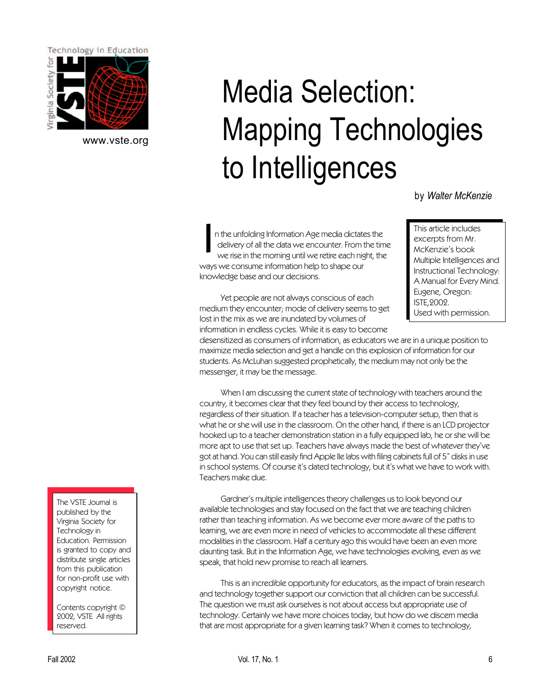

[www.vste.org](http://www.vste.org)

# Media Selection: Mapping Technologies to Intelligences

by *Walter McKenzie*

I n the unfolding Information Age media dictates the delivery of all the data we encounter. From the time we rise in the morning until we retire each night, the ways we consume information help to shape our knowledge base and our decisions.

This article includes excerpts from Mr. McKenzie's book Multiple Intelligences and Instructional Technology: A Manual for Every Mind. Eugene, Oregon: ISTE,2002. Used with permission.

Yet people are not always conscious of each medium they encounter; mode of delivery seems to get lost in the mix as we are inundated by volumes of information in endless cycles. While it is easy to become

desensitized as consumers of information, as educators we are in a unique position to maximize media selection and get a handle on this explosion of information for our students. As McLuhan suggested prophetically, the medium may not only be the messenger, it may be the message.

When I am discussing the current state of technology with teachers around the country, it becomes clear that they feel bound by their access to technology, regardless of their situation. If a teacher has a television-computer setup, then that is what he or she will use in the classroom. On the other hand, if there is an LCD projector hooked up to a teacher demonstration station in a fully equipped lab, he or she will be more apt to use that set up. Teachers have always made the best of whatever they've got at hand. You can still easily find Apple IIe labs with filing cabinets full of 5" disks in use in school systems. Of course it's dated technology, but it's what we have to work with. Teachers make due.

Gardner's multiple intelligences theory challenges us to look beyond our available technologies and stay focused on the fact that we are teaching children rather than teaching information. As we become ever more aware of the paths to learning, we are even more in need of vehicles to accommodate all these different modalities in the classroom. Half a century ago this would have been an even more daunting task. But in the Information Age, we have technologies evolving, even as we speak, that hold new promise to reach all learners.

This is an incredible opportunity for educators, as the impact of brain research and technology together support our conviction that all children can be successful. The question we must ask ourselves is not about access but appropriate use of technology. Certainly we have more choices today, but how do we discern media that are most appropriate for a given learning task? When it comes to technology,

The VSTE Journal is published by the Virginia Society for Technology in Education. Permission is granted to copy and distribute single articles from this publication for non-profit use with copyright notice.

Contents copyright © 2002, VSTE All rights reserved.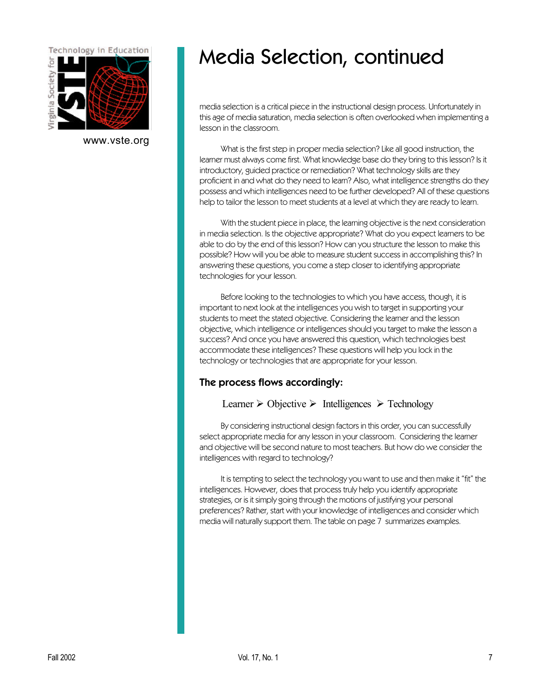

[www.vste.org](http://www.vste.org)

### Media Selection, continued

media selection is a critical piece in the instructional design process. Unfortunately in this age of media saturation, media selection is often overlooked when implementing a lesson in the classroom.

What is the first step in proper media selection? Like all good instruction, the learner must always come first. What knowledge base do they bring to this lesson? Is it introductory, guided practice or remediation? What technology skills are they proficient in and what do they need to learn? Also, what intelligence strengths do they possess and which intelligences need to be further developed? All of these questions help to tailor the lesson to meet students at a level at which they are ready to learn.

With the student piece in place, the learning objective is the next consideration in media selection. Is the objective appropriate? What do you expect learners to be able to do by the end of this lesson? How can you structure the lesson to make this possible? How will you be able to measure student success in accomplishing this? In answering these questions, you come a step closer to identifying appropriate technologies for your lesson.

Before looking to the technologies to which you have access, though, it is important to next look at the intelligences you wish to target in supporting your students to meet the stated objective. Considering the learner and the lesson objective, which intelligence or intelligences should you target to make the lesson a success? And once you have answered this question, which technologies best accommodate these intelligences? These questions will help you lock in the technology or technologies that are appropriate for your lesson.

#### The process flows accordingly:

#### Learner  $\triangleright$  Objective  $\triangleright$  Intelligences  $\triangleright$  Technology

By considering instructional design factors in this order, you can successfully select appropriate media for any lesson in your classroom. Considering the learner and objective will be second nature to most teachers. But how do we consider the intelligences with regard to technology?

It is tempting to select the technology you want to use and then make it "fit" the intelligences. However, does that process truly help you identify appropriate strategies, or is it simply going through the motions of justifying your personal preferences? Rather, start with your knowledge of intelligences and consider which media will naturally support them. The table on page 7 summarizes examples.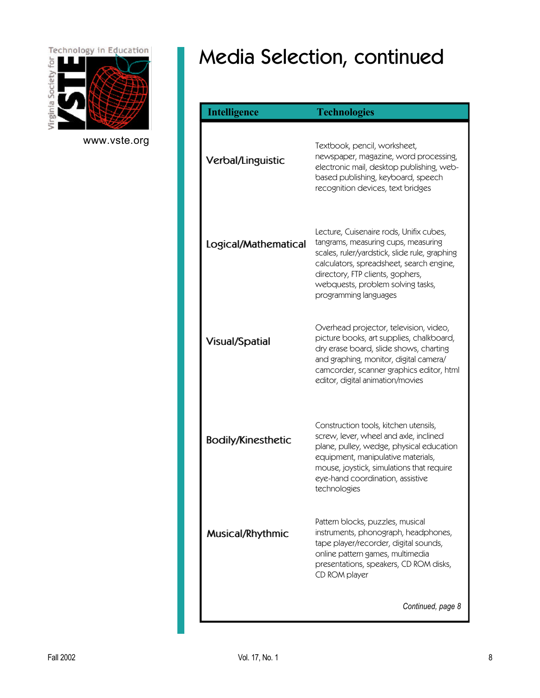

[www.vste.org](http://www.vste.org)

# Media Selection, continued

| <b>Intelligence</b>       | <b>Technologies</b>                                                                                                                                                                                                                                                           |
|---------------------------|-------------------------------------------------------------------------------------------------------------------------------------------------------------------------------------------------------------------------------------------------------------------------------|
| <b>Verbal/Linguistic</b>  | Textbook, pencil, worksheet,<br>newspaper, magazine, word processing,<br>electronic mail, desktop publishing, web-<br>based publishing, keyboard, speech<br>recognition devices, text bridges                                                                                 |
| Logical/Mathematical      | Lecture, Cuisenaire rods, Unifix cubes,<br>tangrams, measuring cups, measuring<br>scales, ruler/yardstick, slide rule, graphing<br>calculators, spreadsheet, search engine,<br>directory, FTP clients, gophers,<br>webquests, problem solving tasks,<br>programming languages |
| <b>Visual/Spatial</b>     | Overhead projector, television, video,<br>picture books, art supplies, chalkboard,<br>dry erase board, slide shows, charting<br>and graphing, monitor, digital camera/<br>camcorder, scanner graphics editor, html<br>editor, digital animation/movies                        |
| <b>Bodily/Kinesthetic</b> | Construction tools, kitchen utensils,<br>screw, lever, wheel and axle, inclined<br>plane, pulley, wedge, physical education<br>equipment, manipulative materials,<br>mouse, joystick, simulations that require<br>eye-hand coordination, assistive<br>technologies            |
| Musical/Rhythmic          | Pattern blocks, puzzles, musical<br>instruments, phonograph, headphones,<br>tape player/recorder, digital sounds,<br>online pattern games, multimedia<br>presentations, speakers, CD ROM disks,<br>CD ROM player                                                              |
|                           | Continued, page 8                                                                                                                                                                                                                                                             |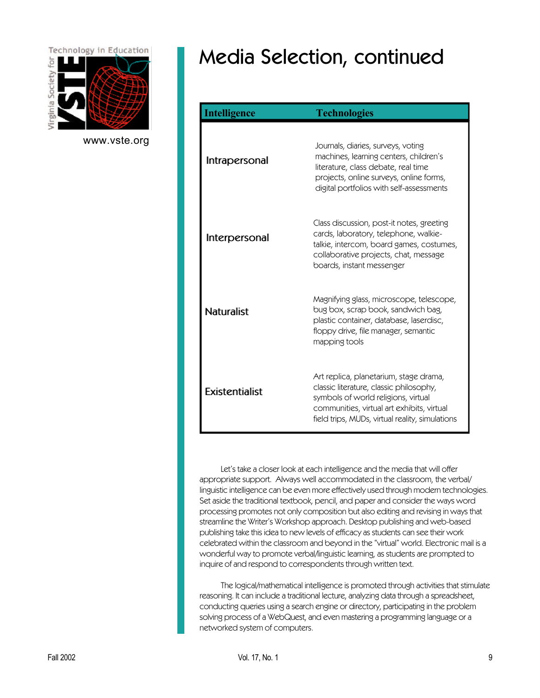

[www.vste.org](http://www.vste.org)

# Media Selection, continued

| <b>Intelligence</b>   | <b>Technologies</b>                                                                                                                                                                                                       |
|-----------------------|---------------------------------------------------------------------------------------------------------------------------------------------------------------------------------------------------------------------------|
| Intrapersonal         | Journals, diaries, surveys, voting<br>machines, learning centers, children's<br>literature, class debate, real time<br>projects, online surveys, online forms,<br>digital portfolios with self-assessments                |
| Interpersonal         | Class discussion, post-it notes, greeting<br>cards, laboratory, telephone, walkie-<br>talkie, intercom, board games, costumes,<br>collaborative projects, chat, message<br>boards, instant messenger                      |
| <b>Naturalist</b>     | Magnifying glass, microscope, telescope,<br>bug box, scrap book, sandwich bag,<br>plastic container, database, laserdisc,<br>floppy drive, file manager, semantic<br>mapping tools                                        |
| <b>Existentialist</b> | Art replica, planetarium, stage drama,<br>classic literature, classic philosophy,<br>symbols of world religions, virtual<br>communities, virtual art exhibits, virtual<br>field trips, MUDs, virtual reality, simulations |

Let's take a closer look at each intelligence and the media that will offer appropriate support. Always well accommodated in the classroom, the verbal/ linguistic intelligence can be even more effectively used through modern technologies. Set aside the traditional textbook, pencil, and paper and consider the ways word processing promotes not only composition but also editing and revising in ways that streamline the Writer's Workshop approach. Desktop publishing and web-based publishing take this idea to new levels of efficacy as students can see their work celebrated within the classroom and beyond in the "virtual" world. Electronic mail is a wonderful way to promote verbal/linguistic learning, as students are prompted to inquire of and respond to correspondents through written text.

The logical/mathematical intelligence is promoted through activities that stimulate reasoning. It can include a traditional lecture, analyzing data through a spreadsheet, conducting queries using a search engine or directory, participating in the problem solving process of a WebQuest, and even mastering a programming language or a networked system of computers.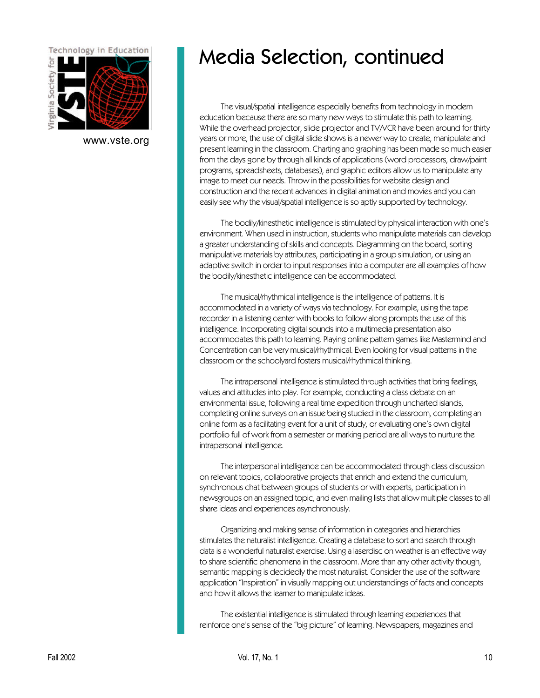

[www.vste.org](http://www.vste.org)

#### Media Selection, continued

The visual/spatial intelligence especially benefits from technology in modern education because there are so many new ways to stimulate this path to learning. While the overhead projector, slide projector and TV/VCR have been around for thirty years or more, the use of digital slide shows is a newer way to create, manipulate and present learning in the classroom. Charting and graphing has been made so much easier from the days gone by through all kinds of applications (word processors, draw/paint programs, spreadsheets, databases), and graphic editors allow us to manipulate any image to meet our needs. Throw in the possibilities for website design and construction and the recent advances in digital animation and movies and you can easily see why the visual/spatial intelligence is so aptly supported by technology.

The bodily/kinesthetic intelligence is stimulated by physical interaction with one's environment. When used in instruction, students who manipulate materials can develop a greater understanding of skills and concepts. Diagramming on the board, sorting manipulative materials by attributes, participating in a group simulation, or using an adaptive switch in order to input responses into a computer are all examples of how the bodily/kinesthetic intelligence can be accommodated.

The musical/rhythmical intelligence is the intelligence of patterns. It is accommodated in a variety of ways via technology. For example, using the tape recorder in a listening center with books to follow along prompts the use of this intelligence. Incorporating digital sounds into a multimedia presentation also accommodates this path to learning. Playing online pattern games like Mastermind and Concentration can be very musical/rhythmical. Even looking for visual patterns in the classroom or the schoolyard fosters musical/rhythmical thinking.

The intrapersonal intelligence is stimulated through activities that bring feelings, values and attitudes into play. For example, conducting a class debate on an environmental issue, following a real time expedition through uncharted islands, completing online surveys on an issue being studied in the classroom, completing an online form as a facilitating event for a unit of study, or evaluating one's own digital portfolio full of work from a semester or marking period are all ways to nurture the intrapersonal intelligence.

The interpersonal intelligence can be accommodated through class discussion on relevant topics, collaborative projects that enrich and extend the curriculum, synchronous chat between groups of students or with experts, participation in newsgroups on an assigned topic, and even mailing lists that allow multiple classes to all share ideas and experiences asynchronously.

Organizing and making sense of information in categories and hierarchies stimulates the naturalist intelligence. Creating a database to sort and search through data is a wonderful naturalist exercise. Using a laserdisc on weather is an effective way to share scientific phenomena in the classroom. More than any other activity though, semantic mapping is decidedly the most naturalist. Consider the use of the software application "Inspiration" in visually mapping out understandings of facts and concepts and how it allows the learner to manipulate ideas.

The existential intelligence is stimulated through learning experiences that reinforce one's sense of the "big picture" of learning. Newspapers, magazines and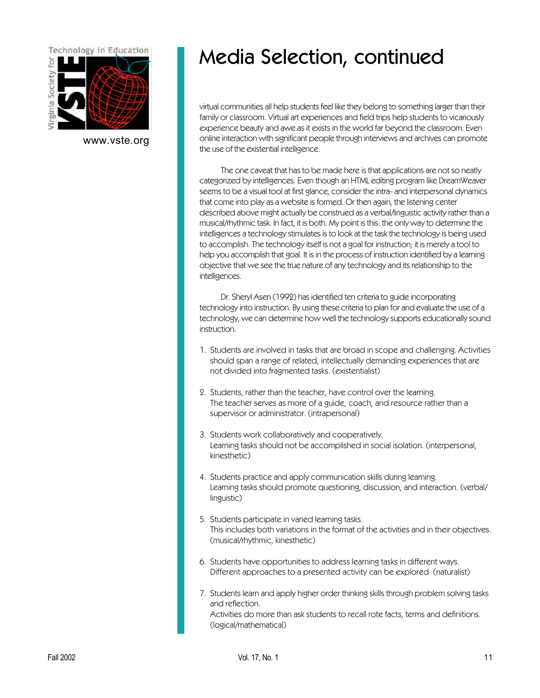

[www.vste.org](http://www.vste.org)

### Media Selection, continued

virtual communities all help students feel like they belong to something larger than their family or classroom. Virtual art experiences and field trips help students to vicariously experience beauty and awe as it exists in the world far beyond the classroom. Even online interaction with significant people through interviews and archives can promote the use of the existential intelligence.

The one caveat that has to be made here is that applications are not so neatly categorized by intelligences. Even though an HTML editing program like DreamWeaver seems to be a visual tool at first glance, consider the intra- and interpersonal dynamics that come into play as a website is formed. Or then again, the listening center described above might actually be construed as a verbal/linguistic activity rather than a musical/rhythmic task. In fact, it is both. My point is this: the only way to determine the intelligences a technology stimulates is to look at the task the technology is being used to accomplish. The technology itself is not a goal for instruction; it is merely a tool to help you accomplish that goal. It is in the process of instruction identified by a learning objective that we see the true nature of any technology and its relationship to the intelligences.

Dr. Sheryl Asen (1992) has identified ten criteria to guide incorporating technology into instruction. By using these criteria to plan for and evaluate the use of a technology, we can determine how well the technology supports educationally sound instruction.

- 1. Students are involved in tasks that are broad in scope and challenging. Activities should span a range of related, intellectually demanding experiences that are not divided into fragmented tasks. (existentialist)
- 2. Students, rather than the teacher, have control over the learning. The teacher serves as more of a guide, coach, and resource rather than a supervisor or administrator. (intrapersonal)
- 3. Students work collaboratively and cooperatively. Learning tasks should not be accomplished in social isolation. (interpersonal, kinesthetic)
- 4. Students practice and apply communication skills during learning. Learning tasks should promote questioning, discussion, and interaction. (verbal/ linguistic)
- 5. Students participate in varied learning tasks. This includes both variations in the format of the activities and in their objectives. (musical/rhythmic, kinesthetic)
- 6. Students have opportunities to address learning tasks in different ways. Different approaches to a presented activity can be explored. (naturalist)
- 7. Students learn and apply higher order thinking skills through problem solving tasks and reflection. Activities do more than ask students to recall rote facts, terms and definitions. (logical/mathematical)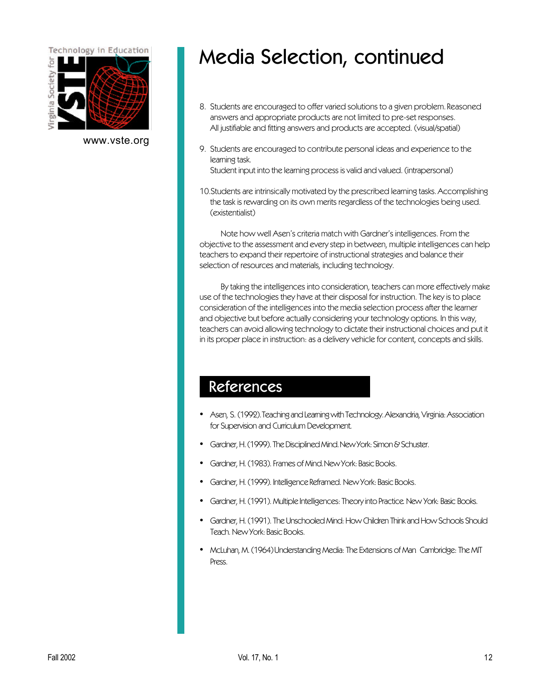

[www.vste.org](http://www.vste.org)

#### Media Selection, continued

- 8. Students are encouraged to offer varied solutions to a given problem. Reasoned answers and appropriate products are not limited to pre-set responses. All justifiable and fitting answers and products are accepted. (visual/spatial)
- 9. Students are encouraged to contribute personal ideas and experience to the learning task. Student input into the learning process is valid and valued. (intrapersonal)
- 10.Students are intrinsically motivated by the prescribed learning tasks. Accomplishing the task is rewarding on its own merits regardless of the technologies being used. (existentialist)

Note how well Asen's criteria match with Gardner's intelligences. From the objective to the assessment and every step in between, multiple intelligences can help teachers to expand their repertoire of instructional strategies and balance their selection of resources and materials, including technology.

By taking the intelligences into consideration, teachers can more effectively make use of the technologies they have at their disposal for instruction. The key is to place consideration of the intelligences into the media selection process after the learner and objective but before actually considering your technology options. In this way, teachers can avoid allowing technology to dictate their instructional choices and put it in its proper place in instruction: as a delivery vehicle for content, concepts and skills.

#### References

- Asen, S. (1992). Teaching and Learning with Technology. Alexandria, Virginia: Association for Supervision and Curriculum Development.
- Gardner, H. (1999). The Disciplined Mind. New York: Simon & Schuster.
- Gardner, H. (1983). Frames of Mind. New York: Basic Books.
- Gardner, H. (1999). Intelligence Reframed. New York: Basic Books.
- Gardner, H. (1991). Multiple Intelligences: Theory into Practice. New York: Basic Books.
- Gardner, H. (1991). The Unschooled Mind: How Children Think and How Schools Should Teach. New York: Basic Books.
- McLuhan, M. (1964) Understanding Media: The Extensions of Man. Cambridge: The MIT Press.